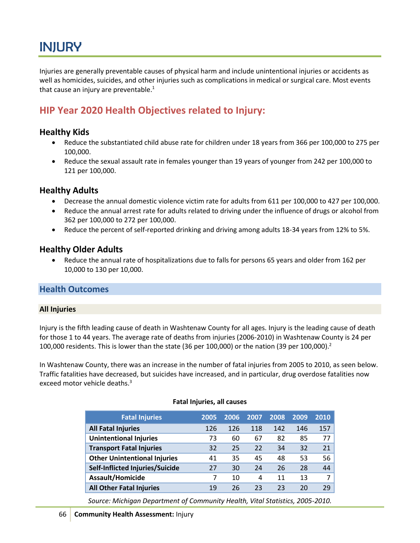# INJURY

Injuries are generally preventable causes of physical harm and include unintentional injuries or accidents as well as homicides, suicides, and other injuries such as complications in medical or surgical care. Most events that cause an injury are preventable. $<sup>1</sup>$ </sup>

## **HIP Year 2020 Health Objectives related to Injury:**

## **Healthy Kids**

- Reduce the substantiated child abuse rate for children under 18 years from 366 per 100,000 to 275 per 100,000.
- Reduce the sexual assault rate in females younger than 19 years of younger from 242 per 100,000 to 121 per 100,000.

## **Healthy Adults**

- Decrease the annual domestic violence victim rate for adults from 611 per 100,000 to 427 per 100,000.
- Reduce the annual arrest rate for adults related to driving under the influence of drugs or alcohol from 362 per 100,000 to 272 per 100,000.
- Reduce the percent of self-reported drinking and driving among adults 18-34 years from 12% to 5%.

## **Healthy Older Adults**

 Reduce the annual rate of hospitalizations due to falls for persons 65 years and older from 162 per 10,000 to 130 per 10,000.

## **Health Outcomes**

#### **All Injuries**

Injury is the fifth leading cause of death in Washtenaw County for all ages. Injury is the leading cause of death for those 1 to 44 years. The average rate of deaths from injuries (2006-2010) in Washtenaw County is 24 per 100,000 residents. This is lower than the state (36 per 100,000) or the nation (39 per 100,000).<sup>2</sup>

In Washtenaw County, there was an increase in the number of fatal injuries from 2005 to 2010, as seen below. Traffic fatalities have decreased, but suicides have increased, and in particular, drug overdose fatalities now exceed motor vehicle deaths.<sup>3</sup>

| <b>Fatal Injuries</b>               | 2005 | 2006 | 2007 | 2008 | 2009 | 2010 |
|-------------------------------------|------|------|------|------|------|------|
| <b>All Fatal Injuries</b>           | 126  | 126  | 118  | 142  | 146  | 157  |
| <b>Unintentional Injuries</b>       | 73   | 60   | 67   | 82   | 85   | 77   |
| <b>Transport Fatal Injuries</b>     | 32   | 25   | 22   | 34   | 32   | 21   |
| <b>Other Unintentional Injuries</b> | 41   | 35   | 45   | 48   | 53   | 56   |
| Self-Inflicted Injuries/Suicide     | 27   | 30   | 24   | 26   | 28   | 44   |
| Assault/Homicide                    |      | 10   | 4    | 11   | 13   | 7    |
| <b>All Other Fatal Injuries</b>     | 19   | 26   | 23   | 23   | 20   | 29   |

#### **Fatal Injuries, all causes**

*Source: Michigan Department of Community Health, Vital Statistics, 2005-2010.*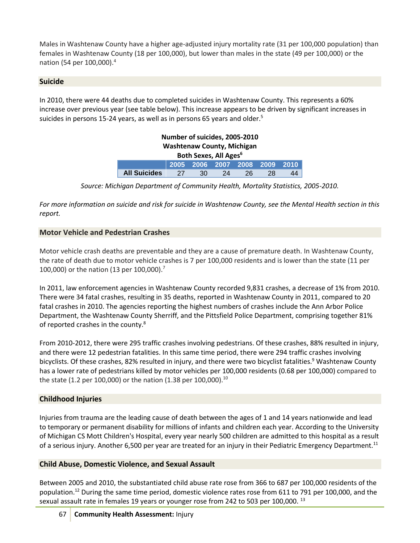Males in Washtenaw County have a higher age-adjusted injury mortality rate (31 per 100,000 population) than females in Washtenaw County (18 per 100,000), but lower than males in the state (49 per 100,000) or the nation (54 per 100,000). 4

## **Suicide**

In 2010, there were 44 deaths due to completed suicides in Washtenaw County. This represents a 60% increase over previous year (see table below). This increase appears to be driven by significant increases in suicides in persons 15-24 years, as well as in persons 65 years and older.<sup>5</sup>

| Number of suicides, 2005-2010     |      |    |    |                               |    |    |  |  |  |
|-----------------------------------|------|----|----|-------------------------------|----|----|--|--|--|
| <b>Washtenaw County, Michigan</b> |      |    |    |                               |    |    |  |  |  |
| Both Sexes, All Ages <sup>6</sup> |      |    |    |                               |    |    |  |  |  |
|                                   |      |    |    | 2005 2006 2007 2008 2009 2010 |    |    |  |  |  |
| <b>All Suicides</b>               | - 27 | 30 | 24 | 26                            | 28 | 44 |  |  |  |

*Source: Michigan Department of Community Health, Mortality Statistics, 2005-2010.*

*For more information on suicide and risk for suicide in Washtenaw County, see the Mental Health section in this report.*

## **Motor Vehicle and Pedestrian Crashes**

Motor vehicle crash deaths are preventable and they are a cause of premature death. In Washtenaw County, the rate of death due to motor vehicle crashes is 7 per 100,000 residents and is lower than the state (11 per 100,000) or the nation (13 per 100,000).<sup>7</sup>

In 2011, law enforcement agencies in Washtenaw County recorded 9,831 crashes, a decrease of 1% from 2010. There were 34 fatal crashes, resulting in 35 deaths, reported in Washtenaw County in 2011, compared to 20 fatal crashes in 2010. The agencies reporting the highest numbers of crashes include the Ann Arbor Police Department, the Washtenaw County Sherriff, and the Pittsfield Police Department, comprising together 81% of reported crashes in the county.<sup>8</sup>

From 2010-2012, there were 295 traffic crashes involving pedestrians. Of these crashes, 88% resulted in injury, and there were 12 pedestrian fatalities. In this same time period, there were 294 traffic crashes involving bicyclists. Of these crashes, 82% resulted in injury, and there were two bicyclist fatalities.<sup>9</sup> Washtenaw County has a lower rate of pedestrians killed by motor vehicles per 100,000 residents (0.68 per 100,000) compared to the state (1.2 per 100,000) or the nation (1.38 per 100,000).<sup>10</sup>

## **Childhood Injuries**

Injuries from trauma are the leading cause of death between the ages of 1 and 14 years nationwide and lead to temporary or permanent disability for millions of infants and children each year. According to the University of Michigan CS Mott Children's Hospital, every year nearly 500 children are admitted to this hospital as a result of a serious injury. Another 6,500 per year are treated for an injury in their Pediatric Emergency Department.<sup>11</sup>

## **Child Abuse, Domestic Violence, and Sexual Assault**

Between 2005 and 2010, the substantiated child abuse rate rose from 366 to 687 per 100,000 residents of the population.<sup>12</sup> During the same time period, domestic violence rates rose from 611 to 791 per 100,000, and the sexual assault rate in females 19 years or younger rose from 242 to 503 per 100,000.<sup>13</sup>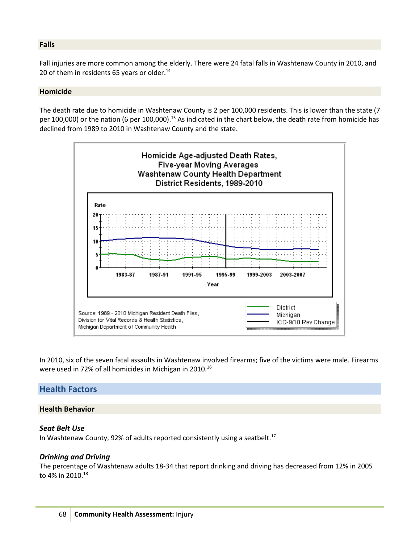#### **Falls**

Fall injuries are more common among the elderly. There were 24 fatal falls in Washtenaw County in 2010, and 20 of them in residents 65 years or older.<sup>14</sup>

#### **Homicide**

The death rate due to homicide in Washtenaw County is 2 per 100,000 residents. This is lower than the state (7 per 100,000) or the nation (6 per 100,000).<sup>15</sup> As indicated in the chart below, the death rate from homicide has declined from 1989 to 2010 in Washtenaw County and the state.



In 2010, six of the seven fatal assaults in Washtenaw involved firearms; five of the victims were male. Firearms were used in 72% of all homicides in Michigan in 2010.<sup>16</sup>

### **Health Factors**

#### **Health Behavior**

#### *Seat Belt Use*

In Washtenaw County, 92% of adults reported consistently using a seatbelt.<sup>17</sup>

#### *Drinking and Driving*

The percentage of Washtenaw adults 18-34 that report drinking and driving has decreased from 12% in 2005 to 4% in 2010.<sup>18</sup>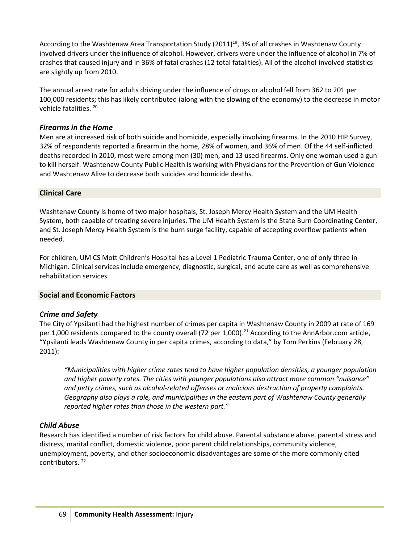According to the Washtenaw Area Transportation Study (2011)<sup>19</sup>, 3% of all crashes in Washtenaw County involved drivers under the influence of alcohol. However, drivers were under the influence of alcohol in 7% of crashes that caused injury and in 36% of fatal crashes (12 total fatalities). All of the alcohol-involved statistics are slightly up from 2010.

The annual arrest rate for adults driving under the influence of drugs or alcohol fell from 362 to 201 per 100,000 residents; this has likely contributed (along with the slowing of the economy) to the decrease in motor vehicle fatalities.<sup>20</sup>

#### *Firearms in the Home*

Men are at increased risk of both suicide and homicide, especially involving firearms. In the 2010 HIP Survey, 32% of respondents reported a firearm in the home, 28% of women, and 36% of men. Of the 44 self-inflicted deaths recorded in 2010, most were among men (30) men, and 13 used firearms. Only one woman used a gun to kill herself. Washtenaw County Public Health is working with Physicians for the Prevention of Gun Violence and Washtenaw Alive to decrease both suicides and homicide deaths.

#### **Clinical Care**

Washtenaw County is home of two major hospitals, St. Joseph Mercy Health System and the UM Health System, both capable of treating severe injuries. The UM Health System is the State Burn Coordinating Center, and St. Joseph Mercy Health System is the burn surge facility, capable of accepting overflow patients when needed.

For children, UM CS Mott Children's Hospital has a Level 1 Pediatric Trauma Center, one of only three in Michigan. Clinical services include emergency, diagnostic, surgical, and acute care as well as comprehensive rehabilitation services.

#### **Social and Economic Factors**

#### *Crime and Safety*

The City of Ypsilanti had the highest number of crimes per capita in Washtenaw County in 2009 at rate of 169 per 1,000 residents compared to the county overall (72 per 1,000).<sup>21</sup> According to the AnnArbor.com article, "Ypsilanti leads Washtenaw County in per capita crimes, according to data," by Tom Perkins (February 28, 2011):

*"Municipalities with higher crime rates tend to have higher population densities, a younger population and higher poverty rates. The cities with younger populations also attract more common "nuisance" and petty crimes, such as alcohol-related offenses or malicious destruction of property complaints. Geography also plays a role, and municipalities in the eastern part of Washtenaw County generally reported higher rates than those in the western part."* 

#### *Child Abuse*

Research has identified a number of risk factors for child abuse. Parental substance abuse, parental stress and distress, marital conflict, domestic violence, poor parent child relationships, community violence, unemployment, poverty, and other socioeconomic disadvantages are some of the more commonly cited contributors. 22